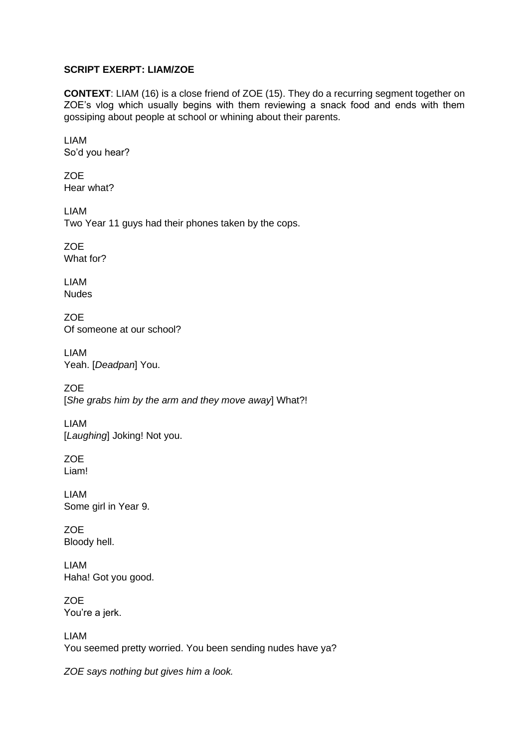## **SCRIPT EXERPT: LIAM/ZOE**

**CONTEXT**: LIAM (16) is a close friend of ZOE (15). They do a recurring segment together on ZOE's vlog which usually begins with them reviewing a snack food and ends with them gossiping about people at school or whining about their parents.

LIAM So'd you hear?

ZOE Hear what?

LIAM Two Year 11 guys had their phones taken by the cops.

ZOE What for?

LIAM Nudes

ZOE Of someone at our school?

LIAM Yeah. [*Deadpan*] You.

ZOE [*She grabs him by the arm and they move away*] What?!

LIAM [*Laughing*] Joking! Not you.

ZOE Liam!

LIAM Some girl in Year 9.

**ZOE** Bloody hell.

LIAM Haha! Got you good.

**ZOE** You're a jerk.

LIAM You seemed pretty worried. You been sending nudes have ya?

*ZOE says nothing but gives him a look.*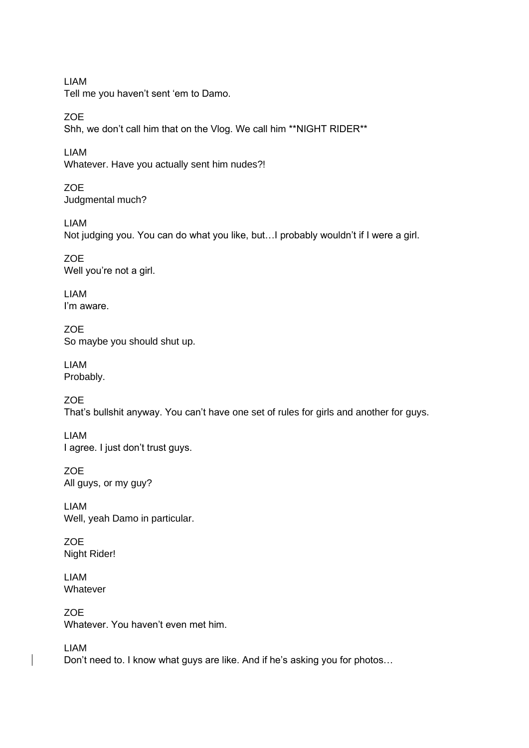LIAM Tell me you haven't sent 'em to Damo.

**ZOE** Shh, we don't call him that on the Vlog. We call him \*\*NIGHT RIDER\*\*

LIAM Whatever. Have you actually sent him nudes?!

**ZOE** Judgmental much?

LIAM Not judging you. You can do what you like, but…I probably wouldn't if I were a girl.

ZOE Well you're not a girl.

LIAM I'm aware.

ZOE So maybe you should shut up.

LIAM Probably.

ZOE That's bullshit anyway. You can't have one set of rules for girls and another for guys.

LIAM I agree. I just don't trust guys.

ZOE All guys, or my guy?

LIAM Well, yeah Damo in particular.

ZOE Night Rider!

LIAM Whatever

ZOE Whatever. You haven't even met him.

LIAM Don't need to. I know what guys are like. And if he's asking you for photos…